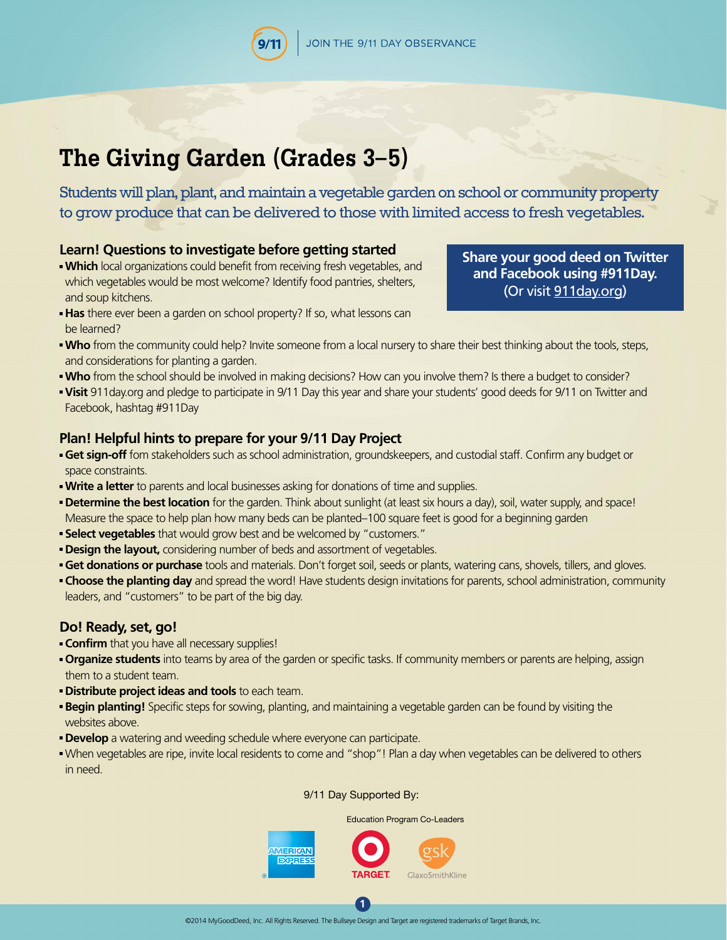# **The Giving Garden (Grades 3–5)**

Students will plan, plant, and maintain a vegetable garden on school or community property to grow produce that can be delivered to those with limited access to fresh vegetables.

## **Learn! Questions to investigate before getting started**

- **Which** local organizations could benefit from receiving fresh vegetables, and which vegetables would be most welcome? Identify food pantries, shelters, and soup kitchens.
- **Has** there ever been a garden on school property? If so, what lessons can be learned?
- **Who** from the community could help? Invite someone from a local nursery to share their best thinking about the tools, steps, and considerations for planting a garden.
- **Who** from the school should be involved in making decisions? How can you involve them? Is there a budget to consider?
- **Visit** 911day.org and pledge to participate in 9/11 Day this year and share your students' good deeds for 9/11 on Twitter and Facebook, hashtag #911Day

## **Plan! Helpful hints to prepare for your 9/11 Day Project**

- **Get sign-off** fom stakeholders such as school administration, groundskeepers, and custodial staff. Confirm any budget or space constraints.
- **Write a letter** to parents and local businesses asking for donations of time and supplies.
- **Determine the best location** for the garden. Think about sunlight (at least six hours a day), soil, water supply, and space! Measure the space to help plan how many beds can be planted–100 square feet is good for a beginning garden
- **Select vegetables** that would grow best and be welcomed by "customers."
- **Design the layout,** considering number of beds and assortment of vegetables.
- **Get donations or purchase** tools and materials. Don't forget soil, seeds or plants, watering cans, shovels, tillers, and gloves.
- **Choose the planting day** and spread the word! Have students design invitations for parents, school administration, community leaders, and "customers" to be part of the big day.

## **Do! Ready, set, go!**

- **Confirm** that you have all necessary supplies!
- **Organize students** into teams by area of the garden or specific tasks. If community members or parents are helping, assign them to a student team.
- **Distribute project ideas and tools** to each team.
- **Begin planting!** Specific steps for sowing, planting, and maintaining a vegetable garden can be found by visiting the websites above.
- **Develop** a watering and weeding schedule where everyone can participate.
- When vegetables are ripe, invite local residents to come and "shop"! Plan a day when vegetables can be delivered to others in need.

#### 9/11 Day Supported By:

Education Program Co-Leaders



**[Share your good deed on Twitter](http://911day.org)  and Facebook using #911Day.**  (Or visit 911day.org)

**1**